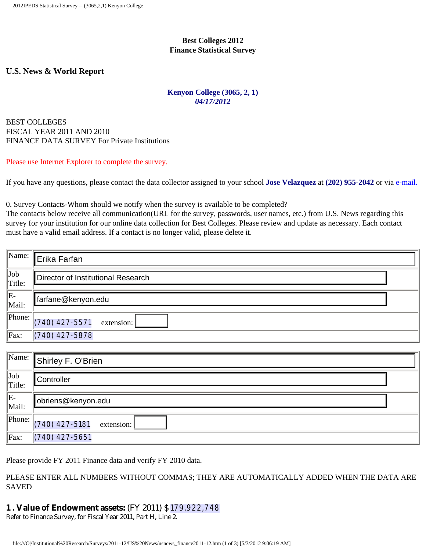#### **Best Colleges 2012 Finance Statistical Survey**

#### **U.S. News & World Report**

**Kenyon College (3065, 2, 1)**  *04/17/2012*

BEST COLLEGES FISCAL YEAR 2011 AND 2010 FINANCE DATA SURVEY For Private Institutions

Please use Internet Explorer to complete the survey.

If you have any questions, please contact the data collector assigned to your school **Jose Velazquez** at **(202) 955-2042** or via [e-mail.](mailto:jvelazquez@usnews.com)

0. Survey Contacts-Whom should we notify when the survey is available to be completed?

The contacts below receive all communication(URL for the survey, passwords, user names, etc.) from U.S. News regarding this survey for your institution for our online data collection for Best Colleges. Please review and update as necessary. Each contact must have a valid email address. If a contact is no longer valid, please delete it.

| $\ $ Name:                 | Erika Farfan                       |
|----------------------------|------------------------------------|
| $\vert$ Job<br>$\ $ Title: | Director of Institutional Research |
| $ E-$<br>Mail:             | farfane@kenyon.edu                 |
| $\ $ Phone: $\ $           | $(740)$ 427-5571<br>extension:     |
| $\parallel$ Fax:           | $(740)$ 427-5878                   |

| $\mu$ vallie.                                                                                                                                                           | Erika Farfan                                                                                                             |
|-------------------------------------------------------------------------------------------------------------------------------------------------------------------------|--------------------------------------------------------------------------------------------------------------------------|
| Job<br>Title:                                                                                                                                                           | Director of Institutional Research                                                                                       |
| E<br>Mail:                                                                                                                                                              | farfane@kenyon.edu                                                                                                       |
| Phone:                                                                                                                                                                  | $(740)$ 427-5571<br>extension:                                                                                           |
| $\parallel$ Fax:                                                                                                                                                        | $(740)$ 427-5878                                                                                                         |
| Name:                                                                                                                                                                   | Shirley F. O'Brien                                                                                                       |
| Job<br>Title:                                                                                                                                                           | Controller                                                                                                               |
| E-<br>Mail:                                                                                                                                                             | obriens@kenyon.edu                                                                                                       |
| Phone:                                                                                                                                                                  | $(740)$ 427-5181<br>extension:                                                                                           |
| $\vert$ Fax:                                                                                                                                                            | $(740)$ 427-5651                                                                                                         |
| Please provide FY 2011 Finance data and verify FY 2010 data.<br>PLEASE ENTER ALL NUMBERS WITHOUT COMMAS; THEY ARE AUTOMATICALLY ADDED WHEN THE DATA ARE<br><b>SAVED</b> |                                                                                                                          |
|                                                                                                                                                                         | 1. Value of Endowment assets: (FY 2011) \$ 179,922,748<br>Refer to Finance Survey, for Fiscal Year 2011, Part H, Line 2. |
|                                                                                                                                                                         | file:///O /Institutional%20Research/Surveys/2011-12/US%20News/usnews_finance2011-12.htm (1 of 3) [5/3/2012 9:06:19 AM]   |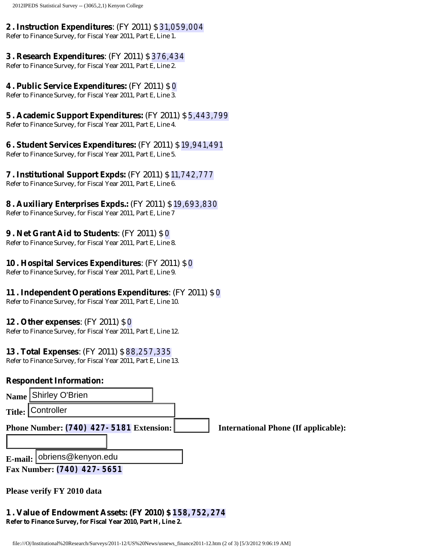2012IPEDS Statistical Survey -- (3065,2,1) Kenyon College

#### **2 . Instruction Expenditures**: (FY 2011) \$ 31,059,004

Refer to Finance Survey, for Fiscal Year 2011, Part E, Line 1.

#### **3 . Research Expenditures**: (FY 2011) \$ 376,434

Refer to Finance Survey, for Fiscal Year 2011, Part E, Line 2.

#### **4 . Public Service Expenditures:** (FY 2011) \$ 0

Refer to Finance Survey, for Fiscal Year 2011, Part E, Line 3.

# **5 . Academic Support Expenditures:** (FY 2011) \$ 5,443,799

Refer to Finance Survey, for Fiscal Year 2011, Part E, Line 4.

### **6 . Student Services Expenditures:** (FY 2011) \$ 19,941,491

Refer to Finance Survey, for Fiscal Year 2011, Part E, Line 5.

# **7 . Institutional Support Expds:** (FY 2011) \$ 11,742,777

Refer to Finance Survey, for Fiscal Year 2011, Part E, Line 6.

### **8 . Auxiliary Enterprises Expds.:** (FY 2011) \$ 19,693,830

Refer to Finance Survey, for Fiscal Year 2011, Part E, Line 7

# **9 . Net Grant Aid to Students**: (FY 2011) \$ 0

Refer to Finance Survey, for Fiscal Year 2011, Part E, Line 8.

### **10 . Hospital Services Expenditures**: (FY 2011) \$ 0

Refer to Finance Survey, for Fiscal Year 2011, Part E, Line 9.

### **11 . Independent Operations Expenditures**: (FY 2011) \$ 0

Refer to Finance Survey, for Fiscal Year 2011, Part E, Line 10.

#### **12 . Other expenses**: (FY 2011) \$ 0

Refer to Finance Survey, for Fiscal Year 2011, Part E, Line 12.

### **13 . Total Expenses**: (FY 2011) \$ 88,257,335

Refer to Finance Survey, for Fiscal Year 2011, Part E, Line 13.

# **Respondent Information:**



#### **Please verify FY 2010 data**

#### **1 . Value of Endowment Assets: (FY 2010) \$ 158,752,274 Refer to Finance Survey, for Fiscal Year 2010, Part H, Line 2.**